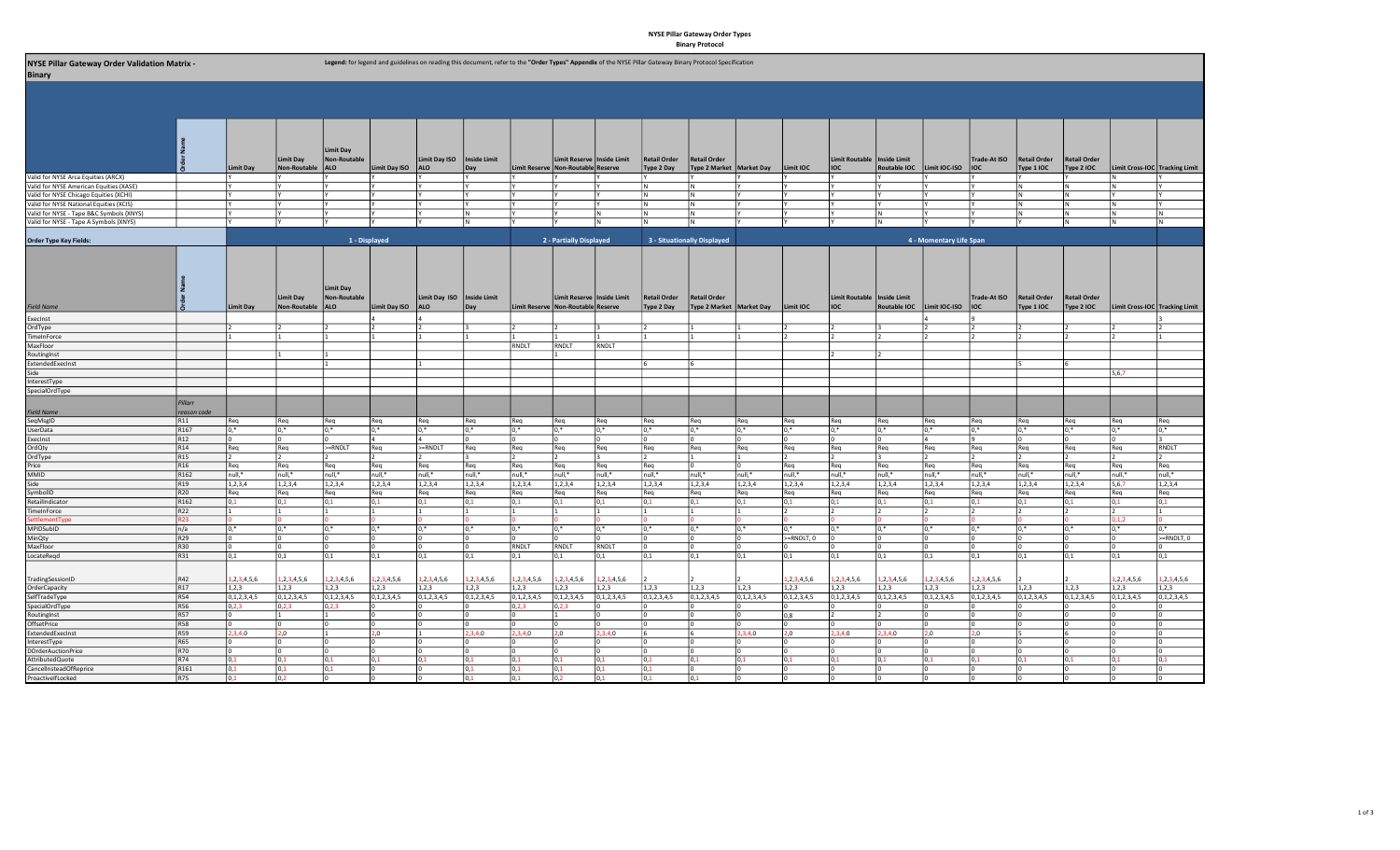## NYSE Pillar Gateway Order Types Binary Protocol

| NYSE Pillar Gateway Order Validation Matrix -<br><b>Binary</b> |                  |                  |                     |                                         |                      |                              |                  |                  |                                    |                  |                             | Legend: for legend and guidelines on reading this document, refer to the "Order Types" Appendix of the NYSE Pillar Gateway Binary Protocol Specification |                  |                  |                               |                  |                         |                  |                     |                     |                                |             |
|----------------------------------------------------------------|------------------|------------------|---------------------|-----------------------------------------|----------------------|------------------------------|------------------|------------------|------------------------------------|------------------|-----------------------------|----------------------------------------------------------------------------------------------------------------------------------------------------------|------------------|------------------|-------------------------------|------------------|-------------------------|------------------|---------------------|---------------------|--------------------------------|-------------|
|                                                                |                  |                  |                     |                                         |                      |                              |                  |                  |                                    |                  |                             |                                                                                                                                                          |                  |                  |                               |                  |                         |                  |                     |                     |                                |             |
|                                                                |                  |                  |                     |                                         |                      |                              |                  |                  |                                    |                  |                             |                                                                                                                                                          |                  |                  |                               |                  |                         |                  |                     |                     |                                |             |
|                                                                |                  |                  |                     |                                         |                      |                              |                  |                  |                                    |                  |                             |                                                                                                                                                          |                  |                  |                               |                  |                         |                  |                     |                     |                                |             |
|                                                                |                  |                  |                     | <b>Limit Dav</b>                        |                      |                              |                  |                  |                                    |                  |                             |                                                                                                                                                          |                  |                  |                               |                  |                         |                  |                     |                     |                                |             |
|                                                                |                  |                  | Limit Day           | <b>Non-Routable</b>                     |                      | Limit Day ISO                | Inside Limit     |                  | Limit Reserve   Inside Limit       |                  | <b>Retail Order</b>         | Retail Order                                                                                                                                             |                  |                  | Limit Routable   Inside Limit |                  |                         | Trade-At ISO     | Retail Order        | <b>Retail Order</b> |                                |             |
|                                                                |                  | Limit Day        | Non-Routable        | <b>ALO</b>                              | Limit Day ISO        | <b>ALO</b>                   | Day              |                  | Limit Reserve Non-Routable Reserve |                  | Type 2 Day                  | Type 2 Market   Market Day                                                                                                                               |                  | Limit IOC        | <b>IOC</b>                    | Routable IOC     | Limit IOC-ISO           | lioc             | Type 1 IOC          | Type 2 IOC          | Limit Cross-IOC Tracking Limit |             |
| /alid for NYSE Arca Equities (ARCX)                            |                  |                  |                     |                                         |                      |                              |                  |                  |                                    |                  |                             |                                                                                                                                                          |                  |                  |                               |                  |                         |                  |                     |                     |                                |             |
| Valid for NYSE American Equities (XASE)                        |                  |                  |                     |                                         |                      |                              |                  |                  |                                    |                  |                             | I N                                                                                                                                                      |                  |                  |                               |                  |                         |                  |                     |                     |                                |             |
| Valid for NYSE Chicago Equities (XCHI)                         |                  |                  |                     |                                         |                      |                              |                  |                  |                                    |                  | IN.                         | IN.                                                                                                                                                      |                  |                  |                               |                  |                         |                  |                     | ١N                  |                                |             |
| Valid for NYSE National Equities (XCIS)                        |                  |                  | l٧                  |                                         |                      |                              |                  |                  |                                    |                  | IN.                         | IN.                                                                                                                                                      |                  |                  |                               |                  |                         |                  |                     | lΝ                  |                                |             |
| Valid for NYSE - Tape B&C Symbols (XNYS)                       |                  |                  |                     |                                         |                      |                              |                  |                  |                                    | M.               | IN.                         | IN.                                                                                                                                                      |                  |                  |                               |                  |                         |                  |                     | IN.                 | 1N                             | lΝ          |
| Valid for NYSE - Tape A Symbols (XNYS)                         |                  |                  | lΥ                  |                                         |                      |                              | I N              |                  |                                    | M.               |                             | l N                                                                                                                                                      |                  |                  |                               |                  |                         |                  |                     | lΝ                  | l N                            |             |
| Order Type Key Fields:                                         |                  |                  |                     | 1 - Displayed                           |                      |                              |                  |                  | 2 - Partially Displayed            |                  | 3 - Situationally Displayed |                                                                                                                                                          |                  |                  |                               |                  | 4 - Momentary Life Span |                  |                     |                     |                                |             |
|                                                                |                  |                  | <b>Limit Day</b>    | <b>Limit Day</b><br><b>Non-Routable</b> |                      | Limit Day ISO   Inside Limit |                  |                  | Limit Reserve   Inside Limit       |                  | <b>Retail Order</b>         | <b>Retail Order</b>                                                                                                                                      |                  |                  | Limit Routable   Inside Limit |                  |                         | Trade-At ISO     | <b>Retail Order</b> | <b>Retail Order</b> |                                |             |
| ield Name                                                      |                  | <b>Limit Day</b> | <b>Non-Routable</b> | <b>ALO</b>                              | <b>Limit Day ISO</b> | <b>ALO</b>                   | Dav              |                  | Limit Reserve Non-Routable Reserve |                  | Type 2 Day                  | Type 2 Market   Market Day                                                                                                                               |                  | Limit IOC        | lioc                          | Routable IOC     | Limit IOC-ISO           | lioc             | Type 1 IOC          | Type 2 IOC          | Limit Cross-IOC Tracking Limit |             |
| ExecInst                                                       |                  |                  |                     |                                         |                      |                              |                  |                  |                                    |                  |                             |                                                                                                                                                          |                  |                  |                               |                  |                         |                  |                     |                     |                                |             |
| )rdType                                                        |                  |                  | $\frac{1}{2}$       |                                         |                      |                              |                  |                  | $\overline{2}$                     |                  |                             |                                                                                                                                                          |                  |                  | $\overline{z}$                |                  |                         |                  |                     |                     |                                |             |
| imeInForce                                                     |                  |                  |                     |                                         |                      |                              |                  |                  |                                    |                  |                             |                                                                                                                                                          |                  |                  |                               |                  |                         |                  |                     |                     |                                |             |
| MaxFloor                                                       |                  |                  |                     |                                         |                      |                              |                  | RNDLT            | RNDLT                              | RNDLT            |                             |                                                                                                                                                          |                  |                  |                               |                  |                         |                  |                     |                     |                                |             |
|                                                                |                  |                  |                     |                                         |                      |                              |                  |                  |                                    |                  |                             |                                                                                                                                                          |                  |                  |                               |                  |                         |                  |                     |                     |                                |             |
| <b>RoutingInst</b>                                             |                  |                  |                     |                                         |                      |                              |                  |                  |                                    |                  |                             |                                                                                                                                                          |                  |                  |                               |                  |                         |                  |                     |                     |                                |             |
| <b>ExtendedExecInst</b>                                        |                  |                  |                     |                                         |                      |                              |                  |                  |                                    |                  |                             |                                                                                                                                                          |                  |                  |                               |                  |                         |                  |                     |                     |                                |             |
| ide                                                            |                  |                  |                     |                                         |                      |                              |                  |                  |                                    |                  |                             |                                                                                                                                                          |                  |                  |                               |                  |                         |                  |                     |                     | 5,6,7                          |             |
| InterestType                                                   |                  |                  |                     |                                         |                      |                              |                  |                  |                                    |                  |                             |                                                                                                                                                          |                  |                  |                               |                  |                         |                  |                     |                     |                                |             |
| SpecialOrdType                                                 |                  |                  |                     |                                         |                      |                              |                  |                  |                                    |                  |                             |                                                                                                                                                          |                  |                  |                               |                  |                         |                  |                     |                     |                                |             |
|                                                                | Pillarr          |                  |                     |                                         |                      |                              |                  |                  |                                    |                  |                             |                                                                                                                                                          |                  |                  |                               |                  |                         |                  |                     |                     |                                |             |
| <b>Field Name</b>                                              | reason code      |                  |                     |                                         |                      |                              |                  |                  |                                    |                  |                             |                                                                                                                                                          |                  |                  |                               |                  |                         |                  |                     |                     |                                |             |
| eqMsgID                                                        | R <sub>11</sub>  | Req              | Req                 | Req                                     | Req                  | Req                          | Req              | Req              | Req                                | Req              | Req                         | Req                                                                                                                                                      | Req              | Req              | Req                           | Req              | Req                     | Req              | Req                 | Req                 | Req                            | Req         |
| IserData                                                       | R167             | $0.*$            | $0,^*$              |                                         | $0.*$                | $0.*$                        | $0.*$            | lo.*             | $0, *$                             | $0.*$            | $0.*$                       | $0,^*$                                                                                                                                                   | $0, *$           | $0.*$            | $0,^*$                        | ր ∗              | $0,^*$                  | $0.*$            | $0, *$              | $0.*$               | $0,^*$                         | $0.*$       |
| <b>ixecInst</b>                                                | R <sub>12</sub>  |                  | 0                   |                                         | Δ.                   |                              |                  |                  |                                    |                  |                             |                                                                                                                                                          |                  |                  | 0                             |                  | 4                       |                  |                     |                     |                                | 13.         |
| rdQty                                                          | R14              | Req              | Req                 | >=RNDLT                                 | Req                  | $>=$ RNDLT                   | Req              | Req              | Req                                | Req              | Req                         | Req                                                                                                                                                      | Req              | Req              | Req                           | Req              | Req                     | Req              | Req                 | Req                 | Req                            | RNDLT       |
| rdType                                                         | R <sub>15</sub>  |                  | $\overline{2}$      |                                         |                      |                              |                  |                  |                                    |                  |                             |                                                                                                                                                          |                  |                  | $\mathcal{P}$                 |                  |                         |                  |                     |                     |                                | 12          |
| rice                                                           | R <sub>16</sub>  | Req              | Req                 | Req                                     | Req                  | Req                          | Req              | Req              | Req                                | Req              | Req                         |                                                                                                                                                          |                  | Req              | Req                           | Req              | Req                     | Req              | Req                 | Req                 | Req                            | Req         |
| MMID                                                           | R <sub>162</sub> | null.*           | null,*              | null.*                                  | null,*               | null,*                       | null.*           | null,*           | null,*                             | null,*           | null.*                      | null.*                                                                                                                                                   | null.*           | null,*           | null,*                        | null.*           | null,*                  | null,*           | null.*              | null,*              | null,*                         | null,*      |
| ide                                                            | R <sub>19</sub>  | 1, 2, 3, 4       | 1, 2, 3, 4          | 1, 2, 3, 4                              | 1, 2, 3, 4           | 1, 2, 3, 4                   | 1, 2, 3, 4       | 1,2,3,4          | 1, 2, 3, 4                         | 1, 2, 3, 4       | 1, 2, 3, 4                  | 1, 2, 3, 4                                                                                                                                               | 1, 2, 3, 4       | 1, 2, 3, 4       | 1, 2, 3, 4                    | 1, 2, 3, 4       | 1,2,3,4                 | 1, 2, 3, 4       | 1, 2, 3, 4          | 1,2,3,4             | 5,6,7                          | 1,2,3,4     |
| ymbolID                                                        | R <sub>20</sub>  | Req              | Req                 | Rea                                     | Reg                  | Req                          | Req              | Req              | Req                                | Rea              | Req                         | Rea                                                                                                                                                      | Req              | Reg              | Req                           | Reg              | Reg                     | Req              | Reg                 | Req                 | Req                            | Req         |
| RetailIndicator                                                | R162             | 0.1              | 0,1                 | $_{0,1}$                                | 0,1                  | 0,1                          | 0,1              | 0,1              | 0,1                                | 0,1              | 10.1                        | 0,1                                                                                                                                                      | 0,1              | 0,1              | 0,1                           | 0,1              | 0,1                     | 0,1              | 0,1                 | 10.1                | 0,1                            | 0,1         |
| imeInForce                                                     | R22              |                  | 1                   |                                         |                      |                              |                  |                  | 1                                  |                  |                             | l1                                                                                                                                                       |                  | $\overline{z}$   | 12                            |                  | $\mathcal{L}$           |                  |                     |                     |                                | $\vert$ 1   |
| <b>ttlementTvi</b>                                             | R23              |                  |                     |                                         |                      |                              |                  |                  |                                    |                  |                             |                                                                                                                                                          |                  |                  |                               |                  |                         |                  |                     |                     | 1.1.2                          |             |
| <b>MPIDSubID</b>                                               | n/a              |                  | $0.*$               |                                         | $0.*$                | $0.*$                        | $0.*$            | lo.*             | $0, *$                             | $\overline{0.*}$ | $0.*$                       | $0,^*$                                                                                                                                                   | $0, *$           | $0.*$            | $0,^*$                        | $0.*$            | $0,^*$                  | $0.*$            | lo.*                | ln.*                | $0.*$                          | $ln*$       |
| /linQty                                                        | R29              |                  | 0                   |                                         |                      |                              |                  |                  |                                    |                  |                             |                                                                                                                                                          |                  | $>=$ RNDLT, 0    | $\Omega$                      |                  |                         |                  |                     |                     |                                | >=RNDLT, 0  |
| <b>AaxFloor</b>                                                | R30              |                  | $\Omega$            |                                         |                      |                              |                  | RNDLT            | RNDLT                              | RNDLT            |                             |                                                                                                                                                          |                  |                  |                               |                  |                         |                  |                     |                     |                                |             |
| LocateRegd                                                     | R31              | 0,1              | 0,1                 | 0,1                                     | 0,1                  | 0,1                          | 0,1              | 10.1             | 0,1                                | 0,1              | 0,1                         | 0,1                                                                                                                                                      | 0,1              | 0,1              | 0,1                           | 0,1              | 0,1                     | 0,1              | 0,1                 | 0,1                 | 0,1                            | 0,1         |
|                                                                |                  |                  |                     |                                         |                      |                              |                  |                  |                                    |                  |                             |                                                                                                                                                          |                  |                  |                               |                  |                         |                  |                     |                     |                                |             |
| TradingSessionID                                               | R42              | 1, 2, 3, 4, 5, 6 | 1, 2, 3, 4, 5, 6    | 1, 2, 3, 4, 5, 6                        | 1,2,3,4,5,6          | 1, 2, 3, 4, 5, 6             | 1,2,3,4,5,6      | 1, 2, 3, 4, 5, 6 | 1, 2, 3, 4, 5, 6                   | 1, 2, 3, 4, 5, 6 |                             |                                                                                                                                                          |                  | 1, 2, 3, 4, 5, 6 | 1, 2, 3, 4, 5, 6              | 1, 2, 3, 4, 5, 6 | 1,2,3,4,5,6             | 1, 2, 3, 4, 5, 6 |                     |                     | 1, 2, 3, 4, 5, 6               | 1,2,3,4,5,6 |
| OrderCapacity                                                  | R17              | 1,2,3            | 1,2,3               | 1, 2, 3                                 | 1, 2, 3              | 1, 2, 3                      | 1,2,3            | 1,2,3            | 1,2,3                              | 1,2,3            | 1,2,3                       | 1,2,3                                                                                                                                                    | 1,2,3            | 1,2,3            | 1,2,3                         | 1,2,3            | 1,2,3                   | 1, 2, 3          | 1,2,3               | 1,2,3               | 1,2,3                          | 1,2,3       |
| selfTradeType                                                  | R54              | 0,1,2,3,4,5      | 0, 1, 2, 3, 4, 5    | 0, 1, 2, 3, 4, 5                        | 0, 1, 2, 3, 4, 5     | 0, 1, 2, 3, 4, 5             | 0, 1, 2, 3, 4, 5 | 0,1,2,3,4,5      | 0, 1, 2, 3, 4, 5                   | 0, 1, 2, 3, 4, 5 | 0, 1, 2, 3, 4, 5            | 0, 1, 2, 3, 4, 5                                                                                                                                         | 0, 1, 2, 3, 4, 5 | 0, 1, 2, 3, 4, 5 | 0, 1, 2, 3, 4, 5              | 0,1,2,3,4,5      | 0,1,2,3,4,5             | 0, 1, 2, 3, 4, 5 | 0, 1, 2, 3, 4, 5    | 0, 1, 2, 3, 4, 5    | 0,1,2,3,4,5                    | 0,1,2,3,4,5 |
| pecialOrdType                                                  | <b>R56</b>       | 1.2.3            | 0, 2, 3             |                                         |                      |                              |                  | 0.2.3            | 0, 2, 3                            |                  |                             |                                                                                                                                                          |                  |                  |                               |                  |                         |                  |                     |                     |                                |             |
| <b>RoutingInst</b>                                             | <b>R57</b>       |                  |                     |                                         |                      |                              |                  |                  |                                    |                  |                             |                                                                                                                                                          |                  | 0,8              |                               |                  |                         |                  |                     |                     |                                |             |
| <b>OffsetPrice</b>                                             | <b>R58</b>       |                  | 10                  |                                         |                      |                              |                  |                  | 0                                  |                  |                             |                                                                                                                                                          |                  | $\Omega$         | n                             |                  |                         |                  |                     |                     | 10                             |             |
| <b>ExtendedExecInst</b>                                        | R59              | 2,3,4,0          | 2,0                 |                                         | 2,0                  |                              | 2,3,4,0          | 2,3,4,0          | 2,0                                | 2,3,4,0          |                             | 16                                                                                                                                                       | 2,3,4,0          | 2,0              | 2,3,4,0                       | 2,3,4,0          | 2,0                     | 2,0              |                     |                     |                                | lо          |
| nterestType                                                    | R65              |                  | $\Omega$            |                                         |                      |                              |                  |                  |                                    |                  |                             | I٥                                                                                                                                                       |                  |                  |                               |                  |                         |                  |                     |                     |                                | I٥          |
| DOrderAuctionPrice                                             | <b>R70</b>       |                  | $\Omega$            |                                         |                      |                              |                  |                  |                                    |                  |                             | I٥                                                                                                                                                       |                  |                  |                               |                  |                         |                  |                     |                     |                                | I٥          |
| AttributedQuote                                                | R74              | 10.1             | 0,1                 | 0.1                                     | $\overline{0,1}$     | 0,1                          | $ 0,1\rangle$    | 0,1              | 0,1                                | 0.1              | 0,1                         | 0,1                                                                                                                                                      | 0,1              | 0,1              | 0,1                           | 0,1              | 0,1                     | $\overline{0,1}$ | $ 0,1\rangle$       | l 0.1               | 0,1                            | 0,1         |
| CancelInsteadOfReprice                                         | R161             |                  | 0,1                 |                                         |                      |                              | 0.1              | ۱o.              | 0,1                                | 10.1             | $\circ$                     |                                                                                                                                                          |                  |                  |                               |                  |                         |                  |                     |                     |                                |             |
| ProactivelfLocked                                              | R75              |                  | 0.2                 |                                         |                      |                              |                  | ۱n.              | 0.2                                | ۱o.              |                             | ln.                                                                                                                                                      |                  |                  |                               |                  |                         |                  |                     |                     |                                |             |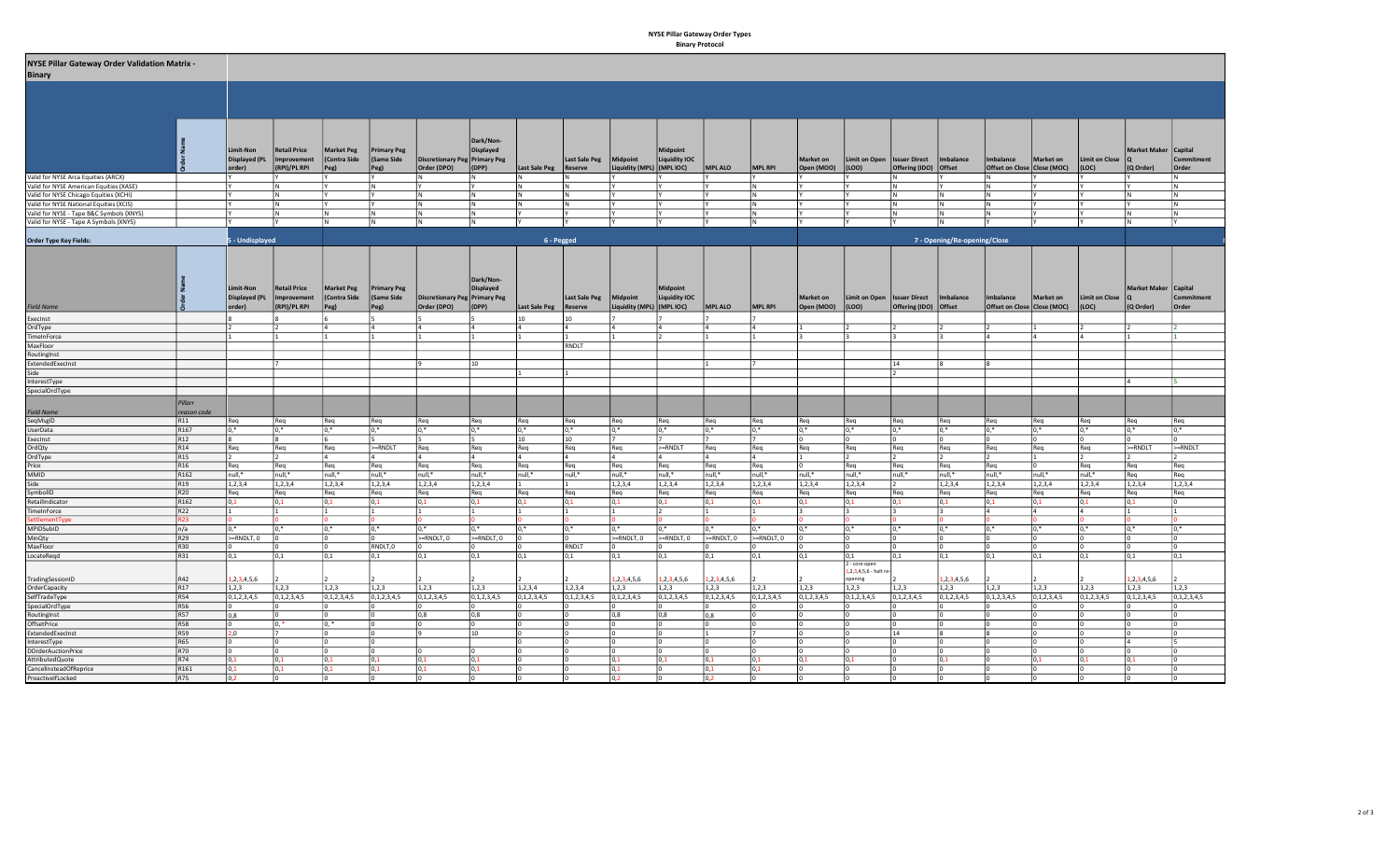## NYSE Pillar Gateway Order Types Binary Protocol

| <b>NYSE Pillar Gateway Order Validation Matrix -</b> |  |  |
|------------------------------------------------------|--|--|
|                                                      |  |  |

|  | <b>Binary</b> |
|--|---------------|
|--|---------------|

| in rise Plilar Gateway Order Validation Matrix -<br>Binary                                                                    |                  |                      |                             |                   |                    |                                      |                |                         |                          |                           |                       |                  |                  |                  |                                           |                       |                              |                               |                  |                  |                      |                  |
|-------------------------------------------------------------------------------------------------------------------------------|------------------|----------------------|-----------------------------|-------------------|--------------------|--------------------------------------|----------------|-------------------------|--------------------------|---------------------------|-----------------------|------------------|------------------|------------------|-------------------------------------------|-----------------------|------------------------------|-------------------------------|------------------|------------------|----------------------|------------------|
|                                                                                                                               |                  |                      |                             |                   |                    |                                      |                |                         |                          |                           |                       |                  |                  |                  |                                           |                       |                              |                               |                  |                  |                      |                  |
|                                                                                                                               |                  |                      |                             |                   |                    |                                      |                |                         |                          |                           |                       |                  |                  |                  |                                           |                       |                              |                               |                  |                  |                      |                  |
|                                                                                                                               |                  |                      |                             |                   |                    |                                      |                |                         |                          |                           |                       |                  |                  |                  |                                           |                       |                              |                               |                  |                  |                      |                  |
|                                                                                                                               |                  |                      |                             |                   |                    |                                      |                |                         |                          |                           |                       |                  |                  |                  |                                           |                       |                              |                               |                  |                  |                      |                  |
|                                                                                                                               |                  |                      |                             |                   |                    |                                      |                |                         |                          |                           |                       |                  |                  |                  |                                           |                       |                              |                               |                  |                  |                      |                  |
|                                                                                                                               |                  |                      |                             |                   |                    |                                      |                |                         |                          |                           |                       |                  |                  |                  |                                           |                       |                              |                               |                  |                  |                      |                  |
|                                                                                                                               |                  |                      |                             |                   |                    |                                      | Dark/Non-      |                         |                          |                           |                       |                  |                  |                  |                                           |                       |                              |                               |                  |                  |                      |                  |
|                                                                                                                               |                  |                      |                             |                   |                    |                                      |                |                         |                          |                           |                       |                  |                  |                  |                                           |                       |                              |                               |                  |                  |                      |                  |
|                                                                                                                               |                  | Limit-Non            | <b>Retail Price</b>         | <b>Market Peg</b> | <b>Primary Peg</b> |                                      | Displayed      |                         |                          |                           | <b>Midpoint</b>       |                  |                  |                  |                                           |                       |                              |                               |                  |                  | Market Maker Capital |                  |
|                                                                                                                               |                  |                      | Displayed (PL   Improvement | Contra Side       | (Same Side         | <b>Discretionary Peg Primary Peg</b> |                |                         | Last Sale Peg   Midpoint |                           | <b>Liquidity IOC</b>  |                  |                  | Market on        | Limit on Open   Issuer Direct   Imbalance |                       |                              | Imbalance                     | Market on        | Limit on Close Q |                      | Commitment       |
|                                                                                                                               |                  | order)               | (RPI)/PL RPI                | Peg)              | Peg)               | Order (DPO)                          | $\vert$ (DPP)  | Last Sale Peg   Reserve |                          | Liquidity (MPL) (MPL IOC) |                       | <b>MPL ALO</b>   | <b>MPL RPI</b>   | Open (MOO)       | (LOO)                                     | Offering (IDO) Offset |                              | Offset on Close   Close (MOC) |                  | (LOC)            | (Q Order)            | Order            |
| Valid for NYSE Arca Equities (ARCX)                                                                                           |                  |                      |                             |                   |                    | IN.                                  |                | N                       |                          |                           |                       |                  |                  |                  |                                           |                       |                              | IN.                           |                  |                  |                      | IN.              |
| Valid for NYSE American Equities (XASE)                                                                                       |                  |                      | IN.                         |                   |                    |                                      |                |                         | I N                      |                           |                       |                  |                  |                  |                                           |                       |                              | IN.                           |                  |                  |                      | IN.              |
|                                                                                                                               |                  |                      | ΙN                          |                   |                    |                                      | lΝ             |                         |                          |                           |                       |                  |                  |                  |                                           |                       |                              | l N                           |                  |                  |                      |                  |
| Valid for NYSE Chicago Equities (XCHI)<br>Valid for NYSE National Equities (XCHI)<br>Valid for NYSE - Tape B&C Symbols (XNYS) |                  |                      | l N                         |                   |                    | IN.                                  | IN.            | N                       | IN.                      |                           |                       |                  | N                |                  |                                           | IN.                   | İΝ.                          | IN.                           |                  |                  |                      | IN.              |
|                                                                                                                               |                  |                      | ΙN                          | N                 |                    | IN.                                  | IN.            |                         |                          |                           |                       |                  | N                |                  |                                           |                       | IN.                          | l N                           |                  |                  |                      | IN.              |
| Valid for NYSE - Tape A Symbols (XNYS)                                                                                        |                  |                      |                             | İΝ                | lΝ                 | N.                                   | $\overline{N}$ |                         | l٢                       |                           |                       | IY               | lΝ               |                  | l٢                                        |                       | IN.                          |                               |                  | l۷               | IN.                  |                  |
|                                                                                                                               |                  |                      |                             |                   |                    |                                      |                |                         |                          |                           |                       |                  |                  |                  |                                           |                       |                              |                               |                  |                  |                      |                  |
| Order Type Key Fields:                                                                                                        |                  | 5 - Undisplayed      |                             |                   |                    |                                      |                | 6 - Pegged              |                          |                           |                       |                  |                  |                  |                                           |                       | 7 - Opening/Re-opening/Close |                               |                  |                  |                      |                  |
|                                                                                                                               |                  |                      |                             |                   |                    |                                      |                |                         |                          |                           |                       |                  |                  |                  |                                           |                       |                              |                               |                  |                  |                      |                  |
|                                                                                                                               |                  |                      |                             |                   |                    |                                      |                |                         |                          |                           |                       |                  |                  |                  |                                           |                       |                              |                               |                  |                  |                      |                  |
|                                                                                                                               |                  |                      |                             |                   |                    |                                      |                |                         |                          |                           |                       |                  |                  |                  |                                           |                       |                              |                               |                  |                  |                      |                  |
|                                                                                                                               |                  |                      |                             |                   |                    |                                      |                |                         |                          |                           |                       |                  |                  |                  |                                           |                       |                              |                               |                  |                  |                      |                  |
|                                                                                                                               |                  |                      |                             |                   |                    |                                      | Dark/Non-      |                         |                          |                           |                       |                  |                  |                  |                                           |                       |                              |                               |                  |                  |                      |                  |
|                                                                                                                               |                  | Limit-Non            | <b>Retail Price</b>         | Market Peg        | <b>Primary Peg</b> |                                      | Displayed      |                         |                          |                           | <b>Midpoint</b>       |                  |                  |                  |                                           |                       |                              |                               |                  |                  | Market Maker Capital |                  |
|                                                                                                                               |                  | Displayed (PL        | Improvement                 | Contra Side       | (Same Side         | Discretionary Peg Primary Peg        |                |                         | Last Sale Peg   Midpoint |                           | Liquidity IOC         |                  |                  | Market on        | Limit on Open   Issuer Direct             |                       | Imbalance                    | Imbalance                     | Market on        | Limit on Close Q |                      | Commitment       |
| <b>Field Name</b>                                                                                                             |                  | order)               | (RPI)/PL RPI                | Peg)              | Peg)               | Order (DPO)                          | $\vert$ (DPP)  | Last Sale Peg   Reserve |                          | Liquidity (MPL) (MPL IOC) |                       | <b>MPL ALO</b>   | <b>MPL RPI</b>   | Open (MOO)       | (LOO)                                     | Offering (IDO) Offset |                              | Offset on Close   Close (MOC) |                  | (LOC)            | (Q Order)            | Order            |
| ExecInst                                                                                                                      |                  |                      |                             |                   |                    |                                      |                | 10                      | 10                       |                           |                       |                  |                  |                  |                                           |                       |                              |                               |                  |                  |                      |                  |
|                                                                                                                               |                  |                      |                             |                   |                    |                                      |                |                         |                          |                           |                       |                  |                  |                  |                                           |                       |                              |                               |                  |                  |                      |                  |
| OrdType<br>TimeInForce                                                                                                        |                  |                      |                             |                   |                    |                                      |                |                         |                          |                           |                       |                  |                  |                  | 13.                                       |                       |                              |                               |                  |                  |                      |                  |
| MaxFloor                                                                                                                      |                  |                      |                             |                   |                    |                                      |                |                         | RNDLT                    |                           |                       |                  |                  |                  |                                           |                       |                              |                               |                  |                  |                      |                  |
| RoutingInst                                                                                                                   |                  |                      |                             |                   |                    |                                      |                |                         |                          |                           |                       |                  |                  |                  |                                           |                       |                              |                               |                  |                  |                      |                  |
| ExtendedExecInst                                                                                                              |                  |                      |                             |                   |                    |                                      | 10             |                         |                          |                           |                       |                  |                  |                  |                                           | 14                    |                              |                               |                  |                  |                      |                  |
|                                                                                                                               |                  |                      |                             |                   |                    |                                      |                |                         |                          |                           |                       |                  |                  |                  |                                           |                       |                              |                               |                  |                  |                      |                  |
|                                                                                                                               |                  |                      |                             |                   |                    |                                      |                |                         |                          |                           |                       |                  |                  |                  |                                           |                       |                              |                               |                  |                  |                      |                  |
| Side<br>InterestType<br>SpecialOrdType                                                                                        |                  |                      |                             |                   |                    |                                      |                |                         |                          |                           |                       |                  |                  |                  |                                           |                       |                              |                               |                  |                  |                      |                  |
|                                                                                                                               |                  |                      |                             |                   |                    |                                      |                |                         |                          |                           |                       |                  |                  |                  |                                           |                       |                              |                               |                  |                  |                      |                  |
|                                                                                                                               | Pillarr          |                      |                             |                   |                    |                                      |                |                         |                          |                           |                       |                  |                  |                  |                                           |                       |                              |                               |                  |                  |                      |                  |
| Field Name<br>SeqMsglD<br>UserData                                                                                            | reason code      |                      |                             |                   |                    |                                      |                |                         |                          |                           |                       |                  |                  |                  |                                           |                       |                              |                               |                  |                  |                      |                  |
|                                                                                                                               | R11              | Req                  | Reg                         | Reg               | Reg                | Req                                  | Reg            | Req                     | Rea                      | Rea                       | Rea                   | Req              | Rea              | Req              | Reg                                       | l Rea                 | Reg                          | Reg                           | Rea              | Reg              | Rea                  | Rea              |
|                                                                                                                               | R <sub>167</sub> | $\overline{0.*}$     | $\overline{0.*}$            | $0.*$             | $0.*$              | $0.*$                                |                | $\overline{0.*}$        | $0.*$                    | $\overline{0.*}$          | $0.*$                 | $\overline{0.*}$ | $n*$             | $\overline{0.*}$ | $\overline{0.*}$                          | $n*$                  | $\overline{0.*}$             | $10.*$                        |                  | $0.*$            | $0.*$                | $\overline{0*}$  |
| ExecInst                                                                                                                      | R <sub>12</sub>  | 8                    | R.                          |                   |                    |                                      |                | 10                      | 10                       |                           |                       |                  |                  |                  | ln.                                       |                       |                              |                               |                  |                  |                      |                  |
| OrdQty                                                                                                                        | R <sub>14</sub>  | Req                  | Req                         | Req               | >=RNDLT            | Req                                  | Req            | Req                     | Req                      | Req                       | $>=$ RNDLT            | Req              | Req              | Req              | Req                                       | Req                   | Req                          | Req                           | Req              | Req              | $>=$ RNDLT           | $>=$ RNDLT       |
| OrdType                                                                                                                       | R <sub>15</sub>  | $\vert$ <sub>2</sub> | 12                          | 14                |                    | 14                                   | 14             | ۱Δ.                     | $\overline{4}$           | 14                        |                       | $\overline{a}$   |                  |                  | 12                                        |                       |                              | $\mathbf{E}$                  |                  | 12               |                      |                  |
|                                                                                                                               | R <sub>16</sub>  | Req                  | Req                         | Req               | Reg                | Req                                  | Req            | Reg                     | Req                      | Req                       | Req                   | Req              | Req              |                  | Req                                       | Req                   | Req                          | Req                           |                  | Reg              | Req                  | Req              |
| Price<br>MMID                                                                                                                 | R <sub>162</sub> | null.*               | Inull.*                     | null.*            | null.*             | null.*                               | null.*         | null.*                  | null,*                   | null.*                    | null.*                | Inull.*          | null.*           | null.*           | Inull.*                                   | null,*                | Inull.*                      | null.*                        | null.*           | null.*           | Rea                  | Rea              |
| Side                                                                                                                          | R <sub>19</sub>  | 1,2,3,4              | 1,2,3,4                     | 1,2,3,4           | 1,2,3,4            | 1, 2, 3, 4                           | 1, 2, 3, 4     |                         |                          | 1, 2, 3, 4                | 1, 2, 3, 4            | 1, 2, 3, 4       | 1, 2, 3, 4       | 1,2,3,4          | 1,2,3,4                                   |                       | 1,2,3,4                      | 1,2,3,4                       | 1, 2, 3, 4       | 1, 2, 3, 4       | 1, 2, 3, 4           | 1, 2, 3, 4       |
| SymbolID                                                                                                                      | R20              | Req                  | Req                         | Req               | Req                | Req                                  | Req            | Req                     | Req                      | Req                       | Req                   | Req              | Req              | Req              | Req                                       | Req                   | Req                          | Req                           | Req              | Req              | Req                  | Req              |
|                                                                                                                               | R <sub>162</sub> | 0,1                  | 10.1                        | 0,1               | 0.1                | 0,1                                  | 0,1            | 0.1                     | 0.1                      | 0,1                       | 0.1                   | 0,1              | 0.1              | 0.1              | $ 0,1\rangle$                             | 0.1                   | $ 0.1\rangle$                | $ 0,1\rangle$                 | 0.1              | 0,1              | 0,1                  |                  |
| RetailIndicator<br>TimeInForce                                                                                                | R22              | $\vert$ 1            |                             | 1                 |                    |                                      |                |                         |                          |                           |                       |                  |                  |                  | 3                                         |                       |                              |                               |                  | 4                |                      |                  |
| SettlementType                                                                                                                | R23              |                      |                             |                   |                    |                                      |                |                         |                          |                           |                       |                  |                  |                  |                                           |                       |                              |                               |                  |                  |                      |                  |
| MPIDSubID                                                                                                                     | n/a              | $0.*$                | $\overline{0.*}$            | $0,^*$            | $0.*$              | $n*$                                 |                | $0.*$                   | $0.*$                    | $n*$                      | $n*$                  | $\overline{h^*}$ |                  | $\overline{0.*}$ | $\overline{0.*}$                          |                       | $10.*$                       | $\overline{0.*}$              |                  | $0.*$            | $0*$                 |                  |
| MinQty                                                                                                                        | R <sub>29</sub>  | $>=RNDLT, 0$         |                             | l O               |                    | $>=$ RNDLT, $0$                      | $>=$ RNDLT, 0  |                         |                          | >=RNDLT, 0                | >=RNDLT, 0            | $>=$ RNDLT, 0    | $>=$ RNDLT, $0$  | I٥               | O                                         |                       |                              |                               |                  |                  |                      |                  |
| MaxFloor                                                                                                                      | R30              |                      |                             |                   | RNDLT,0            |                                      |                |                         | RNDLT                    |                           |                       |                  |                  |                  | I٥                                        |                       |                              |                               |                  |                  |                      |                  |
| LocateRegd                                                                                                                    | R31              |                      |                             |                   |                    |                                      |                | 0,1                     |                          |                           |                       |                  |                  |                  |                                           |                       | 0,1                          |                               |                  | 0,1              |                      |                  |
|                                                                                                                               |                  | $ 0,1\rangle$        | 0,1                         | 0,1               | 0,1                | 0,1                                  | 0,1            |                         | 0,1                      | 0,1                       | 0,1                   | 0,1              | 0,1              | 0,1              | 0,1 <br>2 - core open                     | 0,1                   |                              | 0,1                           | 0,1              |                  | 0,1                  | 0,1              |
|                                                                                                                               |                  |                      |                             |                   |                    |                                      |                |                         |                          |                           |                       |                  |                  |                  | $1, 2, 3, 4, 5, 6$ - halt re              |                       |                              |                               |                  |                  |                      |                  |
| TradingSessionID                                                                                                              | R42              | 1,2,3,4,5,6          |                             |                   |                    |                                      |                |                         |                          | 1, 2, 3, 4, 5, 6          | 1,2,3,4,5,6           | 1, 2, 3, 4, 5, 6 |                  |                  | opening                                   |                       | 1, 2, 3, 4, 5, 6             |                               |                  |                  | 1, 2, 3, 4, 5, 6     |                  |
|                                                                                                                               | R17              | 1,2,3                | 1,2,3                       | 1,2,3             | 1,2,3              | 1, 2, 3                              | 1,2,3          | 1, 2, 3, 4              | 1,2,3,4                  | 1,2,3                     | 1, 2, 3               | 1, 2, 3          | 1, 2, 3          | 1,2,3            | 1,2,3                                     | 1, 2, 3               | 1,2,3                        | 1,2,3                         | 1, 2, 3          | 1,2,3            | 1, 2, 3              | 1, 2, 3          |
| OrderCapacity<br>SelfTradeType<br>SpecialOrdType                                                                              | R54              | 0, 1, 2, 3, 4, 5     | 0, 1, 2, 3, 4, 5            | 0, 1, 2, 3, 4, 5  | 0, 1, 2, 3, 4, 5   | 0, 1, 2, 3, 4, 5                     | 0,1,2,3,4,5    | 0, 1, 2, 3, 4, 5        | 0, 1, 2, 3, 4, 5         | 0,1,2,3,4,5               | $\sqrt{0,1,2,3,4}$ ,5 | 0, 1, 2, 3, 4, 5 | 0, 1, 2, 3, 4, 5 | 0,1,2,3,4,5      | 0, 1, 2, 3, 4, 5                          | 0, 1, 2, 3, 4, 5      | 0, 1, 2, 3, 4, 5             | 0,1,2,3,4,5                   | 0, 1, 2, 3, 4, 5 | 0, 1, 2, 3, 4, 5 | 0, 1, 2, 3, 4, 5     | 0, 1, 2, 3, 4, 5 |
|                                                                                                                               | R56              | lo.                  |                             |                   |                    |                                      |                |                         |                          |                           |                       |                  |                  |                  | l n                                       |                       |                              |                               |                  |                  |                      |                  |
| RoutingInst                                                                                                                   | R57              | 0.8                  |                             | l O               |                    | 0,8                                  | 0,8            |                         |                          | 0,8                       | 0,8                   | 0.8              |                  |                  | l n                                       |                       |                              |                               |                  |                  |                      |                  |
| OffsetPrice                                                                                                                   | <b>R58</b>       | In.                  | $0.*$                       | $0.*$             |                    |                                      |                |                         |                          |                           |                       |                  |                  |                  |                                           |                       |                              |                               |                  |                  |                      |                  |
|                                                                                                                               | R59              | $\overline{2,0}$     | $\overline{7}$              |                   |                    |                                      |                |                         |                          |                           |                       |                  |                  |                  | ln.                                       |                       |                              |                               |                  |                  |                      |                  |
| ExtendedExecInst                                                                                                              |                  |                      |                             |                   |                    |                                      | 10             |                         |                          |                           |                       |                  |                  |                  |                                           | $ 14\rangle$          |                              |                               |                  |                  |                      |                  |
| InterestType<br>DOrderAuctionPrice                                                                                            | R65              | I0.                  |                             |                   |                    |                                      |                |                         |                          |                           |                       |                  |                  |                  |                                           |                       |                              |                               |                  |                  |                      |                  |
|                                                                                                                               | <b>R70</b>       | $\overline{0}$       |                             |                   |                    |                                      |                |                         |                          |                           |                       | I0.              |                  |                  | l n                                       |                       | ın                           |                               |                  |                  |                      |                  |
| AttributedQuote                                                                                                               | R74              | 0,1                  | 0,1                         | 0,1               | 0,1                | 0,1                                  | 0,1            |                         |                          | 0,1                       | 0,1                   | 0,1              | 0.1              | 0,1              | 0,1                                       |                       | 0,1                          |                               |                  | 0,1              | 0,1                  |                  |
| CancelInsteadOfReprice<br>ProactivelfLocked                                                                                   | R161             | 0,1                  | 10.1                        | 0,1               | 0.1                | 0.1                                  | 0.1            |                         |                          | 0,1                       |                       | 0.1              | 0.1              |                  | ln.                                       |                       |                              |                               |                  |                  |                      |                  |
|                                                                                                                               | R75              | 0.2                  | ln.                         | ln.               |                    | I٥                                   | I٥             |                         |                          | 0,2                       | In.                   | 0,2              |                  |                  | I٥                                        |                       | In.                          |                               |                  |                  |                      |                  |